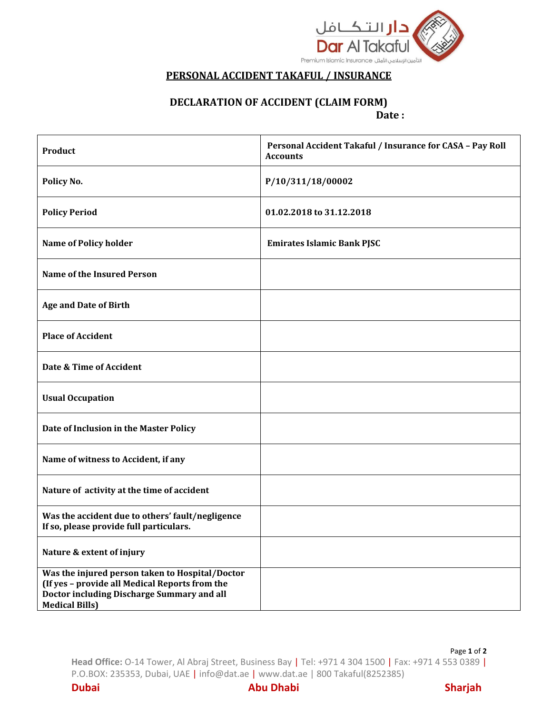

## **PERSONAL ACCIDENT TAKAFUL / INSURANCE**

## **DECLARATION OF ACCIDENT (CLAIM FORM) Date :**

| Product                                                                                                                                                                  | Personal Accident Takaful / Insurance for CASA - Pay Roll<br><b>Accounts</b> |
|--------------------------------------------------------------------------------------------------------------------------------------------------------------------------|------------------------------------------------------------------------------|
| Policy No.                                                                                                                                                               | P/10/311/18/00002                                                            |
| <b>Policy Period</b>                                                                                                                                                     | 01.02.2018 to 31.12.2018                                                     |
| <b>Name of Policy holder</b>                                                                                                                                             | <b>Emirates Islamic Bank PJSC</b>                                            |
| <b>Name of the Insured Person</b>                                                                                                                                        |                                                                              |
| <b>Age and Date of Birth</b>                                                                                                                                             |                                                                              |
| <b>Place of Accident</b>                                                                                                                                                 |                                                                              |
| Date & Time of Accident                                                                                                                                                  |                                                                              |
| <b>Usual Occupation</b>                                                                                                                                                  |                                                                              |
| Date of Inclusion in the Master Policy                                                                                                                                   |                                                                              |
| Name of witness to Accident, if any                                                                                                                                      |                                                                              |
| Nature of activity at the time of accident                                                                                                                               |                                                                              |
| Was the accident due to others' fault/negligence<br>If so, please provide full particulars.                                                                              |                                                                              |
| Nature & extent of injury                                                                                                                                                |                                                                              |
| Was the injured person taken to Hospital/Doctor<br>(If yes - provide all Medical Reports from the<br>Doctor including Discharge Summary and all<br><b>Medical Bills)</b> |                                                                              |

Page **1** of **2 Head Office:** O-14 Tower, Al Abraj Street, Business Bay | Tel: +971 4 304 1500 | Fax: +971 4 553 0389 | P.O.BOX: 235353, Dubai, UAE | info@dat.ae | www.dat.ae | 800 Takaful(8252385)